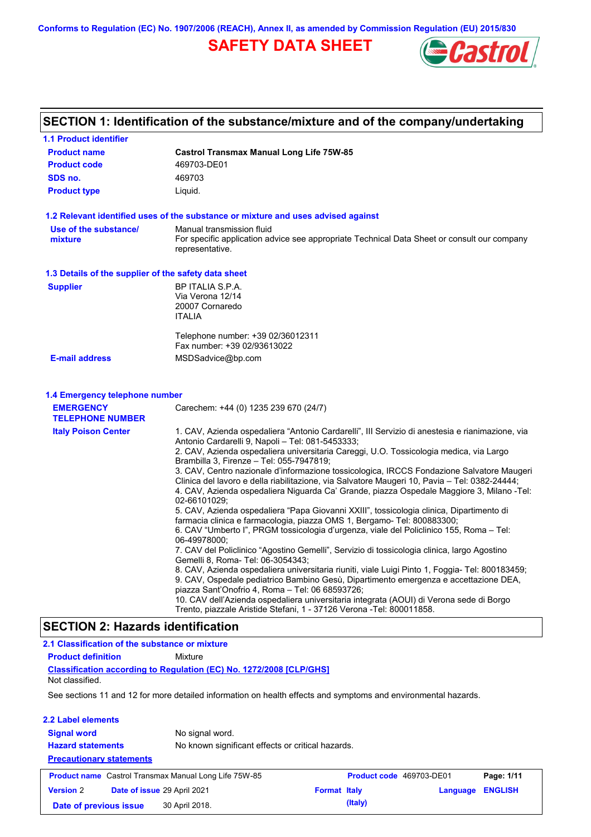**Conforms to Regulation (EC) No. 1907/2006 (REACH), Annex II, as amended by Commission Regulation (EU) 2015/830**

# **SAFETY DATA SHEET**



# **SECTION 1: Identification of the substance/mixture and of the company/undertaking**

| 1.1 Product identifier                               |                                                                                                                                                                                                            |
|------------------------------------------------------|------------------------------------------------------------------------------------------------------------------------------------------------------------------------------------------------------------|
| <b>Product name</b>                                  | <b>Castrol Transmax Manual Long Life 75W-85</b>                                                                                                                                                            |
| <b>Product code</b>                                  | 469703-DE01                                                                                                                                                                                                |
| SDS no.                                              | 469703                                                                                                                                                                                                     |
| <b>Product type</b>                                  | Liquid.                                                                                                                                                                                                    |
|                                                      | 1.2 Relevant identified uses of the substance or mixture and uses advised against                                                                                                                          |
| Use of the substance/<br>mixture                     | Manual transmission fluid<br>For specific application advice see appropriate Technical Data Sheet or consult our company<br>representative.                                                                |
| 1.3 Details of the supplier of the safety data sheet |                                                                                                                                                                                                            |
| <b>Supplier</b>                                      | BP ITALIA S.P.A.                                                                                                                                                                                           |
|                                                      | Via Verona 12/14                                                                                                                                                                                           |
|                                                      | 20007 Cornaredo<br><b>ITALIA</b>                                                                                                                                                                           |
|                                                      |                                                                                                                                                                                                            |
|                                                      | Telephone number: +39 02/36012311<br>Fax number: +39 02/93613022                                                                                                                                           |
| <b>E-mail address</b>                                | MSDSadvice@bp.com                                                                                                                                                                                          |
|                                                      |                                                                                                                                                                                                            |
| 1.4 Emergency telephone number<br><b>EMERGENCY</b>   | Carechem: +44 (0) 1235 239 670 (24/7)                                                                                                                                                                      |
| <b>TELEPHONE NUMBER</b>                              |                                                                                                                                                                                                            |
| <b>Italy Poison Center</b>                           | 1. CAV, Azienda ospedaliera "Antonio Cardarelli", III Servizio di anestesia e rianimazione, via<br>Antonio Cardarelli 9, Napoli - Tel: 081-5453333;                                                        |
|                                                      | 2. CAV, Azienda ospedaliera universitaria Careggi, U.O. Tossicologia medica, via Largo<br>Brambilla 3, Firenze - Tel: 055-7947819;                                                                         |
|                                                      | 3. CAV, Centro nazionale d'informazione tossicologica, IRCCS Fondazione Salvatore Maugeri                                                                                                                  |
|                                                      | Clinica del lavoro e della riabilitazione, via Salvatore Maugeri 10, Pavia - Tel: 0382-24444;<br>4. CAV, Azienda ospedaliera Niguarda Ca' Grande, piazza Ospedale Maggiore 3, Milano -Tel:<br>02-66101029; |
|                                                      | 5. CAV, Azienda ospedaliera "Papa Giovanni XXIII", tossicologia clinica, Dipartimento di                                                                                                                   |
|                                                      | farmacia clinica e farmacologia, piazza OMS 1, Bergamo- Tel: 800883300;                                                                                                                                    |
|                                                      | 6. CAV "Umberto I", PRGM tossicologia d'urgenza, viale del Policlinico 155, Roma – Tel:<br>06-49978000;                                                                                                    |
|                                                      | 7. CAV del Policlinico "Agostino Gemelli", Servizio di tossicologia clinica, largo Agostino                                                                                                                |
|                                                      | Gemelli 8, Roma- Tel: 06-3054343;                                                                                                                                                                          |
|                                                      | 8. CAV, Azienda ospedaliera universitaria riuniti, viale Luigi Pinto 1, Foggia- Tel: 800183459;<br>9. CAV, Ospedale pediatrico Bambino Gesù, Dipartimento emergenza e accettazione DEA,                    |
|                                                      | piazza Sant'Onofrio 4, Roma - Tel: 06 68593726;                                                                                                                                                            |
|                                                      | 10. CAV dell'Azienda ospedaliera universitaria integrata (AOUI) di Verona sede di Borgo<br>Trento, piazzale Aristide Stefani, 1 - 37126 Verona -Tel: 800011858.                                            |
|                                                      |                                                                                                                                                                                                            |
| <b>SECTION 2: Hazards identification</b>             |                                                                                                                                                                                                            |
| 2.1 Classification of the substance or mixture       |                                                                                                                                                                                                            |
| <b>Product definition</b>                            | Mixture                                                                                                                                                                                                    |
|                                                      | <b>Classification according to Regulation (EC) No. 1272/2008 [CLP/GHS]</b>                                                                                                                                 |

Not classified.

 $\mathsf{l}$ 

See sections 11 and 12 for more detailed information on health effects and symptoms and environmental hazards.

| 2.2 Label elements                                           |                             |                                                   |                          |          |                |  |
|--------------------------------------------------------------|-----------------------------|---------------------------------------------------|--------------------------|----------|----------------|--|
| <b>Signal word</b>                                           | No signal word.             |                                                   |                          |          |                |  |
| <b>Hazard statements</b>                                     |                             | No known significant effects or critical hazards. |                          |          |                |  |
| <b>Precautionary statements</b>                              |                             |                                                   |                          |          |                |  |
| <b>Product name</b> Castrol Transmax Manual Long Life 75W-85 |                             |                                                   | Product code 469703-DE01 |          | Page: 1/11     |  |
| <b>Version 2</b>                                             | Date of issue 29 April 2021 | <b>Format Italy</b>                               |                          | Language | <b>ENGLISH</b> |  |
| Date of previous issue                                       | 30 April 2018.              |                                                   | (Italy)                  |          |                |  |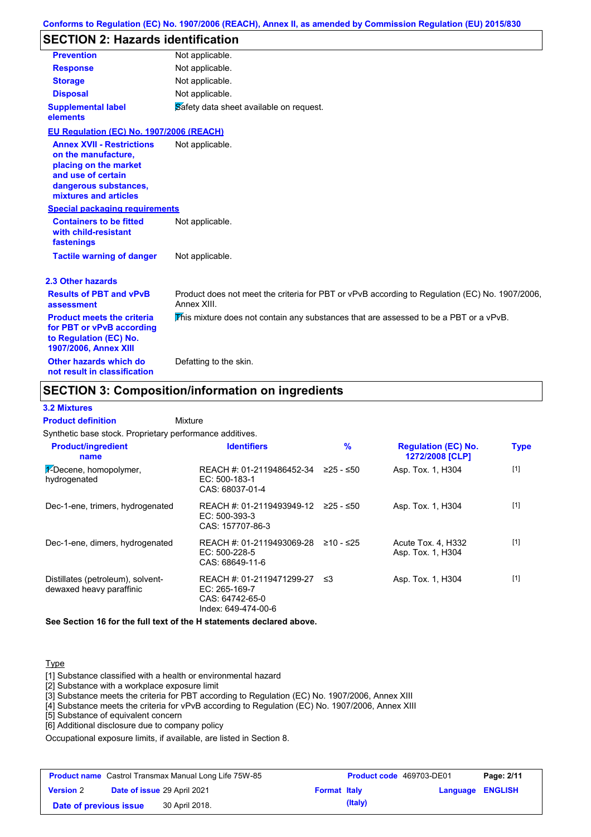# **SECTION 2: Hazards identification**

| <b>Prevention</b>                                                                                                                                        | Not applicable.                                                                                               |
|----------------------------------------------------------------------------------------------------------------------------------------------------------|---------------------------------------------------------------------------------------------------------------|
| <b>Response</b>                                                                                                                                          | Not applicable.                                                                                               |
| <b>Storage</b>                                                                                                                                           | Not applicable.                                                                                               |
| <b>Disposal</b>                                                                                                                                          | Not applicable.                                                                                               |
| <b>Supplemental label</b><br>elements                                                                                                                    | Safety data sheet available on request.                                                                       |
| EU Regulation (EC) No. 1907/2006 (REACH)                                                                                                                 |                                                                                                               |
| <b>Annex XVII - Restrictions</b><br>on the manufacture,<br>placing on the market<br>and use of certain<br>dangerous substances,<br>mixtures and articles | Not applicable.                                                                                               |
| <b>Special packaging requirements</b>                                                                                                                    |                                                                                                               |
| <b>Containers to be fitted</b><br>with child-resistant<br>fastenings                                                                                     | Not applicable.                                                                                               |
| <b>Tactile warning of danger</b>                                                                                                                         | Not applicable.                                                                                               |
| 2.3 Other hazards                                                                                                                                        |                                                                                                               |
| <b>Results of PBT and vPvB</b><br>assessment                                                                                                             | Product does not meet the criteria for PBT or vPvB according to Regulation (EC) No. 1907/2006.<br>Annex XIII. |
| <b>Product meets the criteria</b><br>for PBT or vPvB according<br>to Regulation (EC) No.<br><b>1907/2006, Annex XIII</b>                                 | This mixture does not contain any substances that are assessed to be a PBT or a vPvB.                         |
| Other hazards which do                                                                                                                                   | Defatting to the skin.                                                                                        |

### **SECTION 3: Composition/information on ingredients**

#### **3.2 Mixtures**

Mixture **Product definition**

**not result in classification**

| Synthetic base stock. Proprietary performance additives.      |                                                                                        |           |                                                      |             |
|---------------------------------------------------------------|----------------------------------------------------------------------------------------|-----------|------------------------------------------------------|-------------|
| <b>Product/ingredient</b><br>name                             | <b>Identifiers</b>                                                                     | $\%$      | <b>Regulation (EC) No.</b><br><b>1272/2008 [CLP]</b> | <b>Type</b> |
| 1-Decene, homopolymer,<br>hydrogenated                        | REACH #: 01-2119486452-34<br>$EC: 500-183-1$<br>CAS: 68037-01-4                        | ≥25 - ≤50 | Asp. Tox. 1, H304                                    | $[1]$       |
| Dec-1-ene, trimers, hydrogenated                              | REACH #: 01-2119493949-12 ≥25 - ≤50<br>$EC: 500-393-3$<br>CAS: 157707-86-3             |           | Asp. Tox. 1, H304                                    | [1]         |
| Dec-1-ene, dimers, hydrogenated                               | REACH #: 01-2119493069-28<br>$EC: 500-228-5$<br>CAS: 68649-11-6                        | ≥10 - ≤25 | Acute Tox. 4, H332<br>Asp. Tox. 1, H304              | [1]         |
| Distillates (petroleum), solvent-<br>dewaxed heavy paraffinic | REACH #: 01-2119471299-27<br>$EC: 265-169-7$<br>CAS: 64742-65-0<br>Index: 649-474-00-6 | - ≤3      | Asp. Tox. 1, H304                                    | $[1]$       |

**See Section 16 for the full text of the H statements declared above.**

#### **Type**

[1] Substance classified with a health or environmental hazard

[2] Substance with a workplace exposure limit

[3] Substance meets the criteria for PBT according to Regulation (EC) No. 1907/2006, Annex XIII

[4] Substance meets the criteria for vPvB according to Regulation (EC) No. 1907/2006, Annex XIII

[5] Substance of equivalent concern

[6] Additional disclosure due to company policy

Occupational exposure limits, if available, are listed in Section 8.

| <b>Product name</b> Castrol Transmax Manual Long Life 75W-85 |  |                                    | Product code 469703-DE01 |         | Page: 2/11       |  |
|--------------------------------------------------------------|--|------------------------------------|--------------------------|---------|------------------|--|
| <b>Version 2</b>                                             |  | <b>Date of issue 29 April 2021</b> | <b>Format Italy</b>      |         | Language ENGLISH |  |
| Date of previous issue                                       |  | 30 April 2018.                     |                          | (Italy) |                  |  |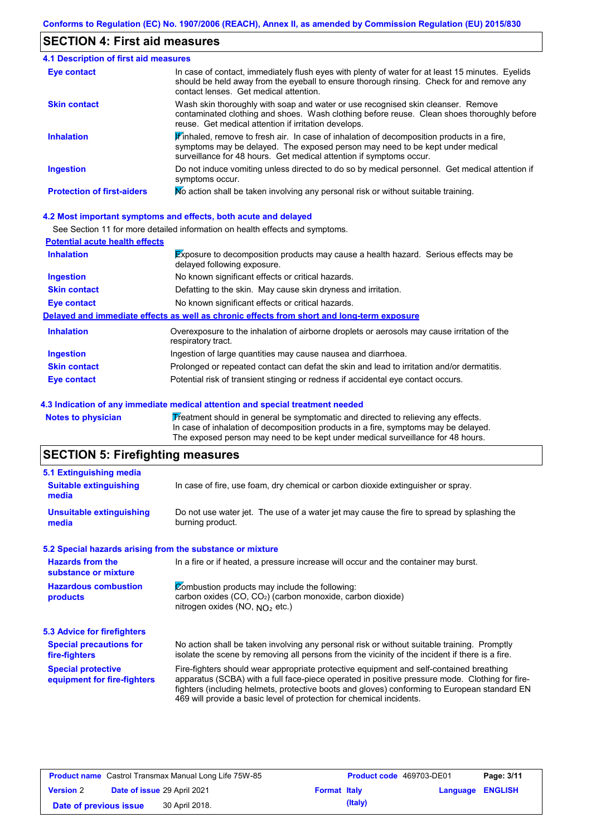#### **SECTION 4: First aid measures**

#### Do not induce vomiting unless directed to do so by medical personnel. Get medical attention if symptoms occur. In case of contact, immediately flush eyes with plenty of water for at least 15 minutes. Eyelids should be held away from the eyeball to ensure thorough rinsing. Check for and remove any contact lenses. Get medical attention. **4.1 Description of first aid measures**  $\mathbf{F}$  inhaled, remove to fresh air. In case of inhalation of decomposition products in a fire, symptoms may be delayed. The exposed person may need to be kept under medical surveillance for 48 hours. Get medical attention if symptoms occur. **Ingestion Inhalation Eye contact Protection of first-aiders** Mo action shall be taken involving any personal risk or without suitable training. **Skin contact** Wash skin thoroughly with soap and water or use recognised skin cleanser. Remove contaminated clothing and shoes. Wash clothing before reuse. Clean shoes thoroughly before reuse. Get medical attention if irritation develops.

#### **4.2 Most important symptoms and effects, both acute and delayed**

See Section 11 for more detailed information on health effects and symptoms.

| <b>Potential acute health effects</b> |                                                                                                                     |
|---------------------------------------|---------------------------------------------------------------------------------------------------------------------|
| <b>Inhalation</b>                     | Exposure to decomposition products may cause a health hazard. Serious effects may be<br>delayed following exposure. |
| <b>Ingestion</b>                      | No known significant effects or critical hazards.                                                                   |
| <b>Skin contact</b>                   | Defatting to the skin. May cause skin dryness and irritation.                                                       |
| <b>Eye contact</b>                    | No known significant effects or critical hazards.                                                                   |
|                                       | Delayed and immediate effects as well as chronic effects from short and long-term exposure                          |
| <b>Inhalation</b>                     | Overexposure to the inhalation of airborne droplets or aerosols may cause irritation of the<br>respiratory tract.   |
| <b>Ingestion</b>                      | Ingestion of large quantities may cause nausea and diarrhoea.                                                       |
| <b>Skin contact</b>                   | Prolonged or repeated contact can defat the skin and lead to irritation and/or dermatitis.                          |
| Eye contact                           | Potential risk of transient stinging or redness if accidental eye contact occurs.                                   |

#### **4.3 Indication of any immediate medical attention and special treatment needed**

**Notes to physician Treatment should in general be symptomatic and directed to relieving any effects.** In case of inhalation of decomposition products in a fire, symptoms may be delayed. The exposed person may need to be kept under medical surveillance for 48 hours.

### **SECTION 5: Firefighting measures**

| In case of fire, use foam, dry chemical or carbon dioxide extinguisher or spray.                                                                                                                                                                                                                                                                                  |
|-------------------------------------------------------------------------------------------------------------------------------------------------------------------------------------------------------------------------------------------------------------------------------------------------------------------------------------------------------------------|
| Do not use water jet. The use of a water jet may cause the fire to spread by splashing the<br>burning product.                                                                                                                                                                                                                                                    |
| 5.2 Special hazards arising from the substance or mixture                                                                                                                                                                                                                                                                                                         |
| In a fire or if heated, a pressure increase will occur and the container may burst.                                                                                                                                                                                                                                                                               |
| Combustion products may include the following:<br>carbon oxides (CO, CO <sub>2</sub> ) (carbon monoxide, carbon dioxide)<br>nitrogen oxides (NO, $NO2$ etc.)                                                                                                                                                                                                      |
|                                                                                                                                                                                                                                                                                                                                                                   |
| No action shall be taken involving any personal risk or without suitable training. Promptly<br>isolate the scene by removing all persons from the vicinity of the incident if there is a fire.                                                                                                                                                                    |
| Fire-fighters should wear appropriate protective equipment and self-contained breathing<br>apparatus (SCBA) with a full face-piece operated in positive pressure mode. Clothing for fire-<br>fighters (including helmets, protective boots and gloves) conforming to European standard EN<br>469 will provide a basic level of protection for chemical incidents. |
|                                                                                                                                                                                                                                                                                                                                                                   |

| <b>Product name</b> Castrol Transmax Manual Long Life 75W-85 |  |                             | <b>Product code</b> 469703-DE01 |         | Page: 3/11              |  |
|--------------------------------------------------------------|--|-----------------------------|---------------------------------|---------|-------------------------|--|
| <b>Version 2</b>                                             |  | Date of issue 29 April 2021 | <b>Format Italy</b>             |         | <b>Language ENGLISH</b> |  |
| Date of previous issue                                       |  | 30 April 2018.              |                                 | (Italy) |                         |  |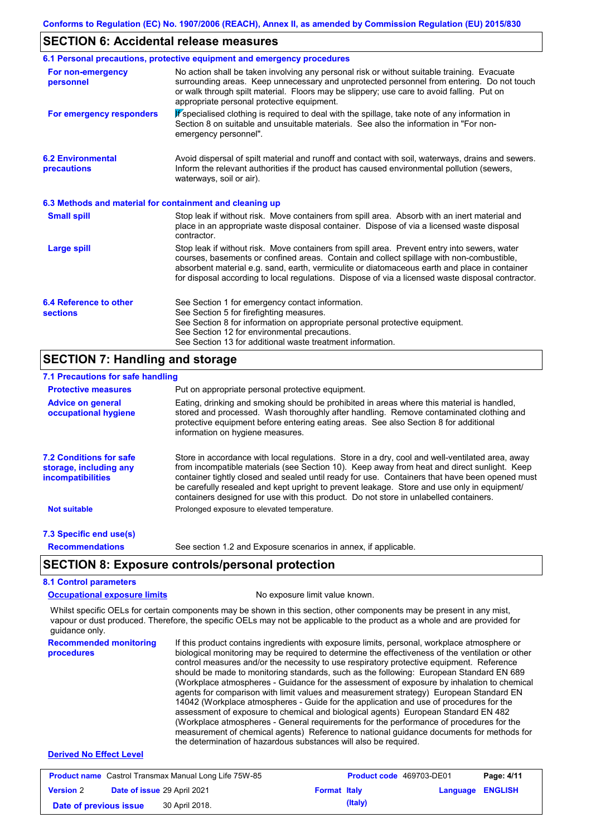#### **SECTION 6: Accidental release measures**

|                                                          | 6.1 Personal precautions, protective equipment and emergency procedures                                                                                                                                                                                                                                                                                                                        |
|----------------------------------------------------------|------------------------------------------------------------------------------------------------------------------------------------------------------------------------------------------------------------------------------------------------------------------------------------------------------------------------------------------------------------------------------------------------|
| For non-emergency<br>personnel                           | No action shall be taken involving any personal risk or without suitable training. Evacuate<br>surrounding areas. Keep unnecessary and unprotected personnel from entering. Do not touch<br>or walk through spilt material. Floors may be slippery; use care to avoid falling. Put on<br>appropriate personal protective equipment.                                                            |
| For emergency responders                                 | K specialised clothing is required to deal with the spillage, take note of any information in<br>Section 8 on suitable and unsuitable materials. See also the information in "For non-<br>emergency personnel".                                                                                                                                                                                |
| <b>6.2 Environmental</b><br>precautions                  | Avoid dispersal of spilt material and runoff and contact with soil, waterways, drains and sewers.<br>Inform the relevant authorities if the product has caused environmental pollution (sewers,<br>waterways, soil or air).                                                                                                                                                                    |
| 6.3 Methods and material for containment and cleaning up |                                                                                                                                                                                                                                                                                                                                                                                                |
| <b>Small spill</b>                                       | Stop leak if without risk. Move containers from spill area. Absorb with an inert material and<br>place in an appropriate waste disposal container. Dispose of via a licensed waste disposal<br>contractor.                                                                                                                                                                                     |
| <b>Large spill</b>                                       | Stop leak if without risk. Move containers from spill area. Prevent entry into sewers, water<br>courses, basements or confined areas. Contain and collect spillage with non-combustible,<br>absorbent material e.g. sand, earth, vermiculite or diatomaceous earth and place in container<br>for disposal according to local regulations. Dispose of via a licensed waste disposal contractor. |
| 6.4 Reference to other<br><b>sections</b>                | See Section 1 for emergency contact information.<br>See Section 5 for firefighting measures.<br>See Section 8 for information on appropriate personal protective equipment.<br>See Section 12 for environmental precautions.<br>See Section 13 for additional waste treatment information.                                                                                                     |
| <b>SECTION 7: Handling and storage</b>                   |                                                                                                                                                                                                                                                                                                                                                                                                |

#### **7.1 Precautions for safe handling**

| 7.1 Precautions for sale nationally                                                  |                                                                                                                                                                                                                                                                                                                                                                                                                                                                                          |
|--------------------------------------------------------------------------------------|------------------------------------------------------------------------------------------------------------------------------------------------------------------------------------------------------------------------------------------------------------------------------------------------------------------------------------------------------------------------------------------------------------------------------------------------------------------------------------------|
| <b>Protective measures</b>                                                           | Put on appropriate personal protective equipment.                                                                                                                                                                                                                                                                                                                                                                                                                                        |
| <b>Advice on general</b><br>occupational hygiene                                     | Eating, drinking and smoking should be prohibited in areas where this material is handled,<br>stored and processed. Wash thoroughly after handling. Remove contaminated clothing and<br>protective equipment before entering eating areas. See also Section 8 for additional<br>information on hygiene measures.                                                                                                                                                                         |
| <b>7.2 Conditions for safe</b><br>storage, including any<br><i>incompatibilities</i> | Store in accordance with local regulations. Store in a dry, cool and well-ventilated area, away<br>from incompatible materials (see Section 10). Keep away from heat and direct sunlight. Keep<br>container tightly closed and sealed until ready for use. Containers that have been opened must<br>be carefully resealed and kept upright to prevent leakage. Store and use only in equipment/<br>containers designed for use with this product. Do not store in unlabelled containers. |
| <b>Not suitable</b>                                                                  | Prolonged exposure to elevated temperature.                                                                                                                                                                                                                                                                                                                                                                                                                                              |
| 7.3 Specific end use(s)                                                              |                                                                                                                                                                                                                                                                                                                                                                                                                                                                                          |
| <b>Recommendations</b>                                                               | See section 1.2 and Exposure scenarios in annex, if applicable.                                                                                                                                                                                                                                                                                                                                                                                                                          |
|                                                                                      | <b>SECTION 8: Exposure controls/personal protection</b>                                                                                                                                                                                                                                                                                                                                                                                                                                  |
| <b>8.1 Control parameters</b>                                                        |                                                                                                                                                                                                                                                                                                                                                                                                                                                                                          |
| <b>Occupational exposure limits</b>                                                  | No exposure limit value known.                                                                                                                                                                                                                                                                                                                                                                                                                                                           |

Whilst specific OELs for certain components may be shown in this section, other components may be present in any mist, vapour or dust produced. Therefore, the specific OELs may not be applicable to the product as a whole and are provided for guidance only.

**Recommended monitoring procedures** If this product contains ingredients with exposure limits, personal, workplace atmosphere or biological monitoring may be required to determine the effectiveness of the ventilation or other control measures and/or the necessity to use respiratory protective equipment. Reference should be made to monitoring standards, such as the following: European Standard EN 689 (Workplace atmospheres - Guidance for the assessment of exposure by inhalation to chemical agents for comparison with limit values and measurement strategy) European Standard EN 14042 (Workplace atmospheres - Guide for the application and use of procedures for the assessment of exposure to chemical and biological agents) European Standard EN 482 (Workplace atmospheres - General requirements for the performance of procedures for the measurement of chemical agents) Reference to national guidance documents for methods for the determination of hazardous substances will also be required.

#### **Derived No Effect Level**

| <b>Product name</b> Castrol Transmax Manual Long Life 75W-85 |  |                             | <b>Product code</b> 469703-DE01 |         | Page: 4/11              |  |
|--------------------------------------------------------------|--|-----------------------------|---------------------------------|---------|-------------------------|--|
| <b>Version 2</b>                                             |  | Date of issue 29 April 2021 | <b>Format Italy</b>             |         | <b>Language ENGLISH</b> |  |
| Date of previous issue                                       |  | 30 April 2018.              |                                 | (Italy) |                         |  |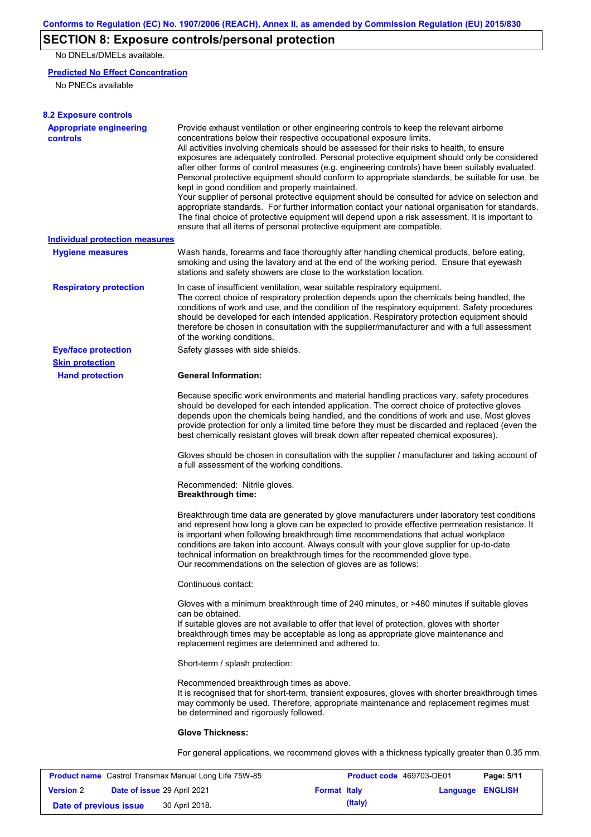# **SECTION 8: Exposure controls/personal protection**

No DNELs/DMELs available.

#### **Predicted No Effect Concentration**

No PNECs available

| <b>8.2 Exposure controls</b>                      |                                                                                                                                                                                                                                                                                                                                                                                                                                                                                                                                                                                                                                                                                                                                                                                                                                                                                                                                                                                                         |
|---------------------------------------------------|---------------------------------------------------------------------------------------------------------------------------------------------------------------------------------------------------------------------------------------------------------------------------------------------------------------------------------------------------------------------------------------------------------------------------------------------------------------------------------------------------------------------------------------------------------------------------------------------------------------------------------------------------------------------------------------------------------------------------------------------------------------------------------------------------------------------------------------------------------------------------------------------------------------------------------------------------------------------------------------------------------|
| <b>Appropriate engineering</b><br><b>controls</b> | Provide exhaust ventilation or other engineering controls to keep the relevant airborne<br>concentrations below their respective occupational exposure limits.<br>All activities involving chemicals should be assessed for their risks to health, to ensure<br>exposures are adequately controlled. Personal protective equipment should only be considered<br>after other forms of control measures (e.g. engineering controls) have been suitably evaluated.<br>Personal protective equipment should conform to appropriate standards, be suitable for use, be<br>kept in good condition and properly maintained.<br>Your supplier of personal protective equipment should be consulted for advice on selection and<br>appropriate standards. For further information contact your national organisation for standards.<br>The final choice of protective equipment will depend upon a risk assessment. It is important to<br>ensure that all items of personal protective equipment are compatible. |
| <b>Individual protection measures</b>             |                                                                                                                                                                                                                                                                                                                                                                                                                                                                                                                                                                                                                                                                                                                                                                                                                                                                                                                                                                                                         |
| <b>Hygiene measures</b>                           | Wash hands, forearms and face thoroughly after handling chemical products, before eating,<br>smoking and using the lavatory and at the end of the working period. Ensure that eyewash<br>stations and safety showers are close to the workstation location.                                                                                                                                                                                                                                                                                                                                                                                                                                                                                                                                                                                                                                                                                                                                             |
| <b>Respiratory protection</b>                     | In case of insufficient ventilation, wear suitable respiratory equipment.<br>The correct choice of respiratory protection depends upon the chemicals being handled, the<br>conditions of work and use, and the condition of the respiratory equipment. Safety procedures<br>should be developed for each intended application. Respiratory protection equipment should<br>therefore be chosen in consultation with the supplier/manufacturer and with a full assessment<br>of the working conditions.                                                                                                                                                                                                                                                                                                                                                                                                                                                                                                   |
| <b>Eye/face protection</b>                        | Safety glasses with side shields.                                                                                                                                                                                                                                                                                                                                                                                                                                                                                                                                                                                                                                                                                                                                                                                                                                                                                                                                                                       |
| <b>Skin protection</b>                            |                                                                                                                                                                                                                                                                                                                                                                                                                                                                                                                                                                                                                                                                                                                                                                                                                                                                                                                                                                                                         |
| <b>Hand protection</b>                            | <b>General Information:</b>                                                                                                                                                                                                                                                                                                                                                                                                                                                                                                                                                                                                                                                                                                                                                                                                                                                                                                                                                                             |
|                                                   | Because specific work environments and material handling practices vary, safety procedures<br>should be developed for each intended application. The correct choice of protective gloves<br>depends upon the chemicals being handled, and the conditions of work and use. Most gloves<br>provide protection for only a limited time before they must be discarded and replaced (even the<br>best chemically resistant gloves will break down after repeated chemical exposures).                                                                                                                                                                                                                                                                                                                                                                                                                                                                                                                        |
|                                                   | Gloves should be chosen in consultation with the supplier / manufacturer and taking account of<br>a full assessment of the working conditions.                                                                                                                                                                                                                                                                                                                                                                                                                                                                                                                                                                                                                                                                                                                                                                                                                                                          |
|                                                   | Recommended: Nitrile gloves.<br><b>Breakthrough time:</b>                                                                                                                                                                                                                                                                                                                                                                                                                                                                                                                                                                                                                                                                                                                                                                                                                                                                                                                                               |
|                                                   | Breakthrough time data are generated by glove manufacturers under laboratory test conditions<br>and represent how long a glove can be expected to provide effective permeation resistance. It<br>is important when following breakthrough time recommendations that actual workplace<br>conditions are taken into account. Always consult with your glove supplier for up-to-date<br>technical information on breakthrough times for the recommended glove type.<br>Our recommendations on the selection of gloves are as follows:                                                                                                                                                                                                                                                                                                                                                                                                                                                                      |
|                                                   | Continuous contact:                                                                                                                                                                                                                                                                                                                                                                                                                                                                                                                                                                                                                                                                                                                                                                                                                                                                                                                                                                                     |
|                                                   | Gloves with a minimum breakthrough time of 240 minutes, or >480 minutes if suitable gloves<br>can be obtained.<br>If suitable gloves are not available to offer that level of protection, gloves with shorter<br>breakthrough times may be acceptable as long as appropriate glove maintenance and<br>replacement regimes are determined and adhered to.                                                                                                                                                                                                                                                                                                                                                                                                                                                                                                                                                                                                                                                |
|                                                   | Short-term / splash protection:                                                                                                                                                                                                                                                                                                                                                                                                                                                                                                                                                                                                                                                                                                                                                                                                                                                                                                                                                                         |
|                                                   | Recommended breakthrough times as above.<br>It is recognised that for short-term, transient exposures, gloves with shorter breakthrough times<br>may commonly be used. Therefore, appropriate maintenance and replacement regimes must<br>be determined and rigorously followed.                                                                                                                                                                                                                                                                                                                                                                                                                                                                                                                                                                                                                                                                                                                        |
|                                                   | <b>Glove Thickness:</b>                                                                                                                                                                                                                                                                                                                                                                                                                                                                                                                                                                                                                                                                                                                                                                                                                                                                                                                                                                                 |
|                                                   | For general applications, we recommend gloves with a thickness typically greater than 0.35 mm.                                                                                                                                                                                                                                                                                                                                                                                                                                                                                                                                                                                                                                                                                                                                                                                                                                                                                                          |

| <b>Product name</b> Castrol Transmax Manual Long Life 75W-85 |  |                             | <b>Product code</b> 469703-DE01 |         | Page: 5/11              |  |
|--------------------------------------------------------------|--|-----------------------------|---------------------------------|---------|-------------------------|--|
| <b>Version 2</b>                                             |  | Date of issue 29 April 2021 | <b>Format Italy</b>             |         | <b>Language ENGLISH</b> |  |
| Date of previous issue                                       |  | 30 April 2018.              |                                 | (Italy) |                         |  |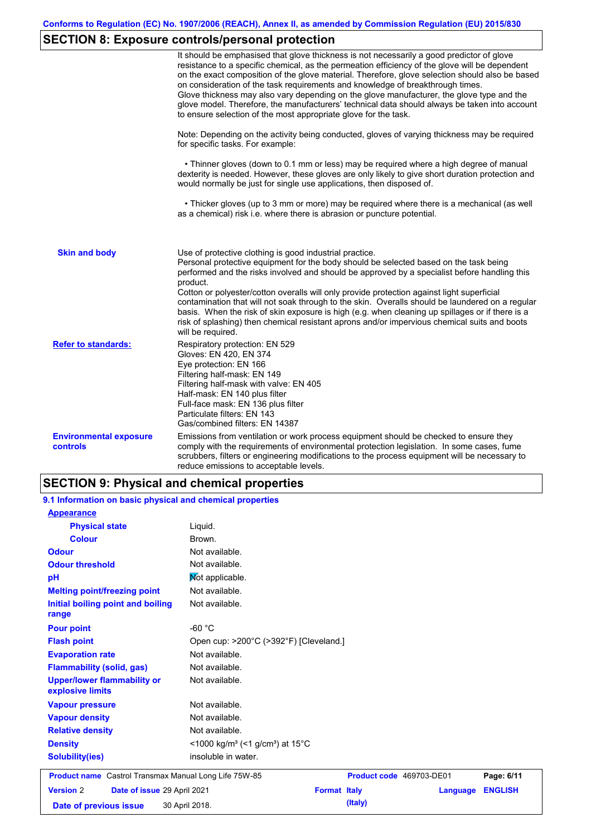# **SECTION 8: Exposure controls/personal protection**

|                                                  | It should be emphasised that glove thickness is not necessarily a good predictor of glove<br>resistance to a specific chemical, as the permeation efficiency of the glove will be dependent<br>on the exact composition of the glove material. Therefore, glove selection should also be based<br>on consideration of the task requirements and knowledge of breakthrough times.<br>Glove thickness may also vary depending on the glove manufacturer, the glove type and the<br>glove model. Therefore, the manufacturers' technical data should always be taken into account<br>to ensure selection of the most appropriate glove for the task.                                     |
|--------------------------------------------------|---------------------------------------------------------------------------------------------------------------------------------------------------------------------------------------------------------------------------------------------------------------------------------------------------------------------------------------------------------------------------------------------------------------------------------------------------------------------------------------------------------------------------------------------------------------------------------------------------------------------------------------------------------------------------------------|
|                                                  | Note: Depending on the activity being conducted, gloves of varying thickness may be required<br>for specific tasks. For example:                                                                                                                                                                                                                                                                                                                                                                                                                                                                                                                                                      |
|                                                  | • Thinner gloves (down to 0.1 mm or less) may be required where a high degree of manual<br>dexterity is needed. However, these gloves are only likely to give short duration protection and<br>would normally be just for single use applications, then disposed of.                                                                                                                                                                                                                                                                                                                                                                                                                  |
|                                                  | • Thicker gloves (up to 3 mm or more) may be required where there is a mechanical (as well<br>as a chemical) risk i.e. where there is abrasion or puncture potential.                                                                                                                                                                                                                                                                                                                                                                                                                                                                                                                 |
| <b>Skin and body</b>                             | Use of protective clothing is good industrial practice.<br>Personal protective equipment for the body should be selected based on the task being<br>performed and the risks involved and should be approved by a specialist before handling this<br>product.<br>Cotton or polyester/cotton overalls will only provide protection against light superficial<br>contamination that will not soak through to the skin. Overalls should be laundered on a regular<br>basis. When the risk of skin exposure is high (e.g. when cleaning up spillages or if there is a<br>risk of splashing) then chemical resistant aprons and/or impervious chemical suits and boots<br>will be required. |
| <b>Refer to standards:</b>                       | Respiratory protection: EN 529<br>Gloves: EN 420, EN 374<br>Eye protection: EN 166<br>Filtering half-mask: EN 149<br>Filtering half-mask with valve: EN 405<br>Half-mask: EN 140 plus filter<br>Full-face mask: EN 136 plus filter<br>Particulate filters: EN 143<br>Gas/combined filters: EN 14387                                                                                                                                                                                                                                                                                                                                                                                   |
| <b>Environmental exposure</b><br><b>controls</b> | Emissions from ventilation or work process equipment should be checked to ensure they<br>comply with the requirements of environmental protection legislation. In some cases, fume<br>scrubbers, filters or engineering modifications to the process equipment will be necessary to<br>reduce emissions to acceptable levels.                                                                                                                                                                                                                                                                                                                                                         |

# **SECTION 9: Physical and chemical properties**

| 9.1 Information on basic physical and chemical properties    |                                                                      |
|--------------------------------------------------------------|----------------------------------------------------------------------|
| <b>Appearance</b>                                            |                                                                      |
| <b>Physical state</b>                                        | Liquid.                                                              |
| <b>Colour</b>                                                | Brown.                                                               |
| <b>Odour</b>                                                 | Not available.                                                       |
| <b>Odour threshold</b>                                       | Not available.                                                       |
| pH                                                           | Mot applicable.                                                      |
| <b>Melting point/freezing point</b>                          | Not available.                                                       |
| Initial boiling point and boiling<br>range                   | Not available.                                                       |
| <b>Pour point</b>                                            | -60 $^{\circ}$ C                                                     |
| <b>Flash point</b>                                           | Open cup: >200°C (>392°F) [Cleveland.]                               |
| <b>Evaporation rate</b>                                      | Not available.                                                       |
| <b>Flammability (solid, gas)</b>                             | Not available.                                                       |
| <b>Upper/lower flammability or</b><br>explosive limits       | Not available.                                                       |
| <b>Vapour pressure</b>                                       | Not available.                                                       |
| <b>Vapour density</b>                                        | Not available.                                                       |
| <b>Relative density</b>                                      | Not available.                                                       |
| <b>Density</b>                                               | <1000 kg/m <sup>3</sup> (<1 g/cm <sup>3</sup> ) at 15 <sup>°</sup> C |
| <b>Solubility(ies)</b>                                       | insoluble in water.                                                  |
| <b>Product name</b> Castrol Transmax Manual Long Life 75W-85 | Product code 469703-DE01<br>Page: 6/11                               |
| <b>Version 2</b><br>Date of issue 29 April 2021              | <b>ENGLISH</b><br><b>Format Italy</b><br>Language                    |
| Date of previous issue                                       | (Italy)<br>30 April 2018.                                            |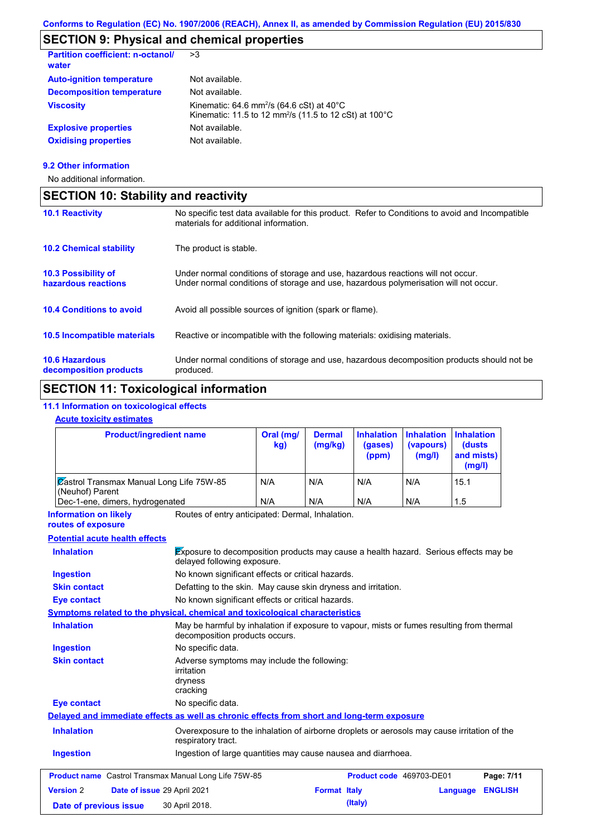# **SECTION 9: Physical and chemical properties**

| <b>Partition coefficient: n-octanol/</b><br>water | >3                                                                                                                                    |
|---------------------------------------------------|---------------------------------------------------------------------------------------------------------------------------------------|
| <b>Auto-ignition temperature</b>                  | Not available.                                                                                                                        |
| <b>Decomposition temperature</b>                  | Not available.                                                                                                                        |
| <b>Viscosity</b>                                  | Kinematic: 64.6 mm <sup>2</sup> /s (64.6 cSt) at $40^{\circ}$ C<br>Kinematic: 11.5 to 12 mm <sup>2</sup> /s (11.5 to 12 cSt) at 100°C |
| <b>Explosive properties</b>                       | Not available.                                                                                                                        |
| <b>Oxidising properties</b>                       | Not available.                                                                                                                        |
|                                                   |                                                                                                                                       |

#### **9.2 Other information**

No additional information.

| <b>SECTION 10: Stability and reactivity</b>       |                                                                                                                                                                         |  |
|---------------------------------------------------|-------------------------------------------------------------------------------------------------------------------------------------------------------------------------|--|
| <b>10.1 Reactivity</b>                            | No specific test data available for this product. Refer to Conditions to avoid and Incompatible<br>materials for additional information.                                |  |
| <b>10.2 Chemical stability</b>                    | The product is stable.                                                                                                                                                  |  |
| <b>10.3 Possibility of</b><br>hazardous reactions | Under normal conditions of storage and use, hazardous reactions will not occur.<br>Under normal conditions of storage and use, hazardous polymerisation will not occur. |  |
| <b>10.4 Conditions to avoid</b>                   | Avoid all possible sources of ignition (spark or flame).                                                                                                                |  |
| 10.5 Incompatible materials                       | Reactive or incompatible with the following materials: oxidising materials.                                                                                             |  |
| <b>10.6 Hazardous</b><br>decomposition products   | Under normal conditions of storage and use, hazardous decomposition products should not be<br>produced.                                                                 |  |

# **SECTION 11: Toxicological information**

#### **11.1 Information on toxicological effects**

#### **Acute toxicity estimates**

| <b>Product/ingredient name</b>                                                                                                           |                                                                                                                             | Oral (mg/<br>kg) | <b>Dermal</b><br>(mg/kg) | <b>Inhalation</b><br>(gases)<br>(ppm) | <b>Inhalation</b><br>(vapours)<br>(mg/l) | <b>Inhalation</b><br><b>(dusts)</b><br>and mists)<br>(mg/l) |  |
|------------------------------------------------------------------------------------------------------------------------------------------|-----------------------------------------------------------------------------------------------------------------------------|------------------|--------------------------|---------------------------------------|------------------------------------------|-------------------------------------------------------------|--|
| Castrol Transmax Manual Long Life 75W-85                                                                                                 |                                                                                                                             | N/A              | N/A                      | N/A                                   | N/A                                      | 15.1                                                        |  |
| (Neuhof) Parent<br>Dec-1-ene, dimers, hydrogenated                                                                                       |                                                                                                                             | N/A              | N/A                      | N/A                                   | N/A                                      | 1.5                                                         |  |
| <b>Information on likely</b>                                                                                                             | Routes of entry anticipated: Dermal, Inhalation.                                                                            |                  |                          |                                       |                                          |                                                             |  |
| routes of exposure                                                                                                                       |                                                                                                                             |                  |                          |                                       |                                          |                                                             |  |
| <b>Potential acute health effects</b>                                                                                                    |                                                                                                                             |                  |                          |                                       |                                          |                                                             |  |
| Exposure to decomposition products may cause a health hazard. Serious effects may be<br><b>Inhalation</b><br>delayed following exposure. |                                                                                                                             |                  |                          |                                       |                                          |                                                             |  |
| <b>Ingestion</b>                                                                                                                         | No known significant effects or critical hazards.                                                                           |                  |                          |                                       |                                          |                                                             |  |
| <b>Skin contact</b>                                                                                                                      | Defatting to the skin. May cause skin dryness and irritation.                                                               |                  |                          |                                       |                                          |                                                             |  |
| No known significant effects or critical hazards.<br><b>Eye contact</b>                                                                  |                                                                                                                             |                  |                          |                                       |                                          |                                                             |  |
| Symptoms related to the physical, chemical and toxicological characteristics                                                             |                                                                                                                             |                  |                          |                                       |                                          |                                                             |  |
| <b>Inhalation</b>                                                                                                                        | May be harmful by inhalation if exposure to vapour, mists or fumes resulting from thermal<br>decomposition products occurs. |                  |                          |                                       |                                          |                                                             |  |
| <b>Ingestion</b>                                                                                                                         | No specific data.                                                                                                           |                  |                          |                                       |                                          |                                                             |  |
| <b>Skin contact</b>                                                                                                                      | Adverse symptoms may include the following:<br>irritation<br>dryness<br>cracking                                            |                  |                          |                                       |                                          |                                                             |  |
| <b>Eye contact</b>                                                                                                                       | No specific data.                                                                                                           |                  |                          |                                       |                                          |                                                             |  |
| Delayed and immediate effects as well as chronic effects from short and long-term exposure                                               |                                                                                                                             |                  |                          |                                       |                                          |                                                             |  |
| <b>Inhalation</b>                                                                                                                        | Overexposure to the inhalation of airborne droplets or aerosols may cause irritation of the<br>respiratory tract.           |                  |                          |                                       |                                          |                                                             |  |
| <b>Ingestion</b>                                                                                                                         | Ingestion of large quantities may cause nausea and diarrhoea.                                                               |                  |                          |                                       |                                          |                                                             |  |
| Product name Castrol Transmax Manual Long Life 75W-85                                                                                    |                                                                                                                             |                  |                          | Product code 469703-DE01              |                                          | Page: 7/11                                                  |  |
| <b>Version 2</b>                                                                                                                         | Date of issue 29 April 2021                                                                                                 |                  | <b>Format Italy</b>      |                                       |                                          | <b>ENGLISH</b><br>Language                                  |  |
| Date of previous issue                                                                                                                   | 30 April 2018.                                                                                                              |                  |                          | (Italy)                               |                                          |                                                             |  |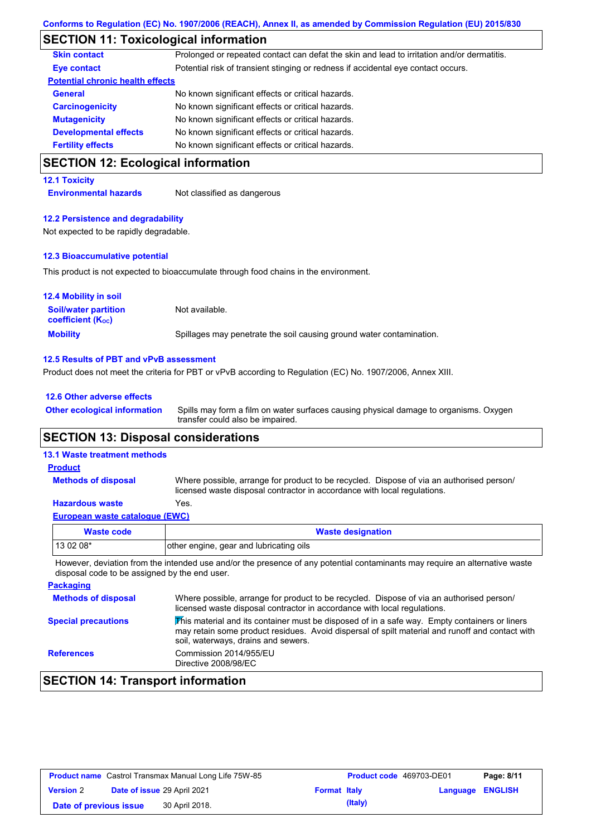# **SECTION 11: Toxicological information**

| <b>Skin contact</b>                     | Prolonged or repeated contact can defat the skin and lead to irritation and/or dermatitis. |
|-----------------------------------------|--------------------------------------------------------------------------------------------|
| Eye contact                             | Potential risk of transient stinging or redness if accidental eye contact occurs.          |
| <b>Potential chronic health effects</b> |                                                                                            |
| <b>General</b>                          | No known significant effects or critical hazards.                                          |
| <b>Carcinogenicity</b>                  | No known significant effects or critical hazards.                                          |
| <b>Mutagenicity</b>                     | No known significant effects or critical hazards.                                          |
| <b>Developmental effects</b>            | No known significant effects or critical hazards.                                          |
| <b>Fertility effects</b>                | No known significant effects or critical hazards.                                          |
|                                         |                                                                                            |

### **SECTION 12: Ecological information**

#### **12.1 Toxicity**

**Environmental hazards** Not classified as dangerous

#### **12.2 Persistence and degradability**

Not expected to be rapidly degradable.

#### **12.3 Bioaccumulative potential**

This product is not expected to bioaccumulate through food chains in the environment.

| <b>12.4 Mobility in soil</b>                            |                                                                      |  |  |
|---------------------------------------------------------|----------------------------------------------------------------------|--|--|
| <b>Soil/water partition</b><br><b>coefficient (Koc)</b> | Not available.                                                       |  |  |
| <b>Mobility</b>                                         | Spillages may penetrate the soil causing ground water contamination. |  |  |

#### **12.5 Results of PBT and vPvB assessment**

Product does not meet the criteria for PBT or vPvB according to Regulation (EC) No. 1907/2006, Annex XIII.

| 12.6 Other adverse effects          |                                                                                                                           |
|-------------------------------------|---------------------------------------------------------------------------------------------------------------------------|
| <b>Other ecological information</b> | Spills may form a film on water surfaces causing physical damage to organisms. Oxygen<br>transfer could also be impaired. |
| . _ _ _ _ _ _ <i>. .</i> . _ .      |                                                                                                                           |

### **SECTION 13: Disposal considerations**

| <b>13.1 Waste treatment methods</b>   |                                                                                                                                                                      |
|---------------------------------------|----------------------------------------------------------------------------------------------------------------------------------------------------------------------|
| <b>Product</b>                        |                                                                                                                                                                      |
| <b>Methods of disposal</b>            | Where possible, arrange for product to be recycled. Dispose of via an authorised person/<br>licensed waste disposal contractor in accordance with local regulations. |
| <b>Hazardous waste</b>                | Yes.                                                                                                                                                                 |
| <b>European waste catalogue (EWC)</b> |                                                                                                                                                                      |
| <b>Waste code</b>                     | <b>Waste designation</b>                                                                                                                                             |

| Waste code | <b>Waste designation</b>                |
|------------|-----------------------------------------|
| 13 02 08*  | other engine, gear and lubricating oils |

However, deviation from the intended use and/or the presence of any potential contaminants may require an alternative waste disposal code to be assigned by the end user.

| <b>Packaging</b>           |                                                                                                                                                                                                                                         |
|----------------------------|-----------------------------------------------------------------------------------------------------------------------------------------------------------------------------------------------------------------------------------------|
| <b>Methods of disposal</b> | Where possible, arrange for product to be recycled. Dispose of via an authorised person/<br>licensed waste disposal contractor in accordance with local regulations.                                                                    |
| <b>Special precautions</b> | This material and its container must be disposed of in a safe way. Empty containers or liners<br>may retain some product residues. Avoid dispersal of spilt material and runoff and contact with<br>soil, waterways, drains and sewers. |
| <b>References</b>          | Commission 2014/955/EU<br>Directive 2008/98/EC                                                                                                                                                                                          |

# **SECTION 14: Transport information**

| <b>Product name</b> Castrol Transmax Manual Long Life 75W-85 |  |                             | Product code 469703-DE01 | Page: 8/11 |                  |  |
|--------------------------------------------------------------|--|-----------------------------|--------------------------|------------|------------------|--|
| <b>Version 2</b>                                             |  | Date of issue 29 April 2021 | <b>Format Italy</b>      |            | Language ENGLISH |  |
| Date of previous issue                                       |  | 30 April 2018.              |                          | (Italy)    |                  |  |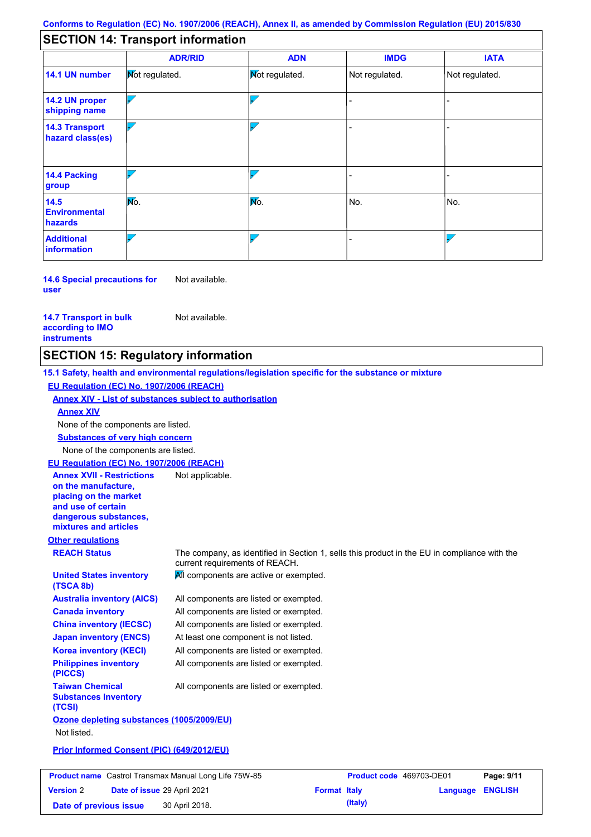# **SECTION 14: Transport information**

|                                           | <b>ADR/RID</b>        | <b>ADN</b>            | <b>IMDG</b>    | <b>IATA</b>    |  |
|-------------------------------------------|-----------------------|-----------------------|----------------|----------------|--|
| 14.1 UN number                            | <b>Not regulated.</b> | <b>Not regulated.</b> | Not regulated. | Not regulated. |  |
| 14.2 UN proper<br>shipping name           |                       |                       |                |                |  |
| <b>14.3 Transport</b><br>hazard class(es) |                       |                       |                |                |  |
| 14.4 Packing<br>group                     |                       |                       |                |                |  |
| 14.5<br><b>Environmental</b><br>hazards   | No.                   | Mo.                   | No.            | No.            |  |
| <b>Additional</b><br>information          |                       |                       |                |                |  |

**14.6 Special precautions for user** Not available.

**14.7 Transport in bulk according to IMO instruments**

Not available.

# **SECTION 15: Regulatory information**

|                                                                                                                                                          | 15.1 Safety, health and environmental regulations/legislation specific for the substance or mixture                            |
|----------------------------------------------------------------------------------------------------------------------------------------------------------|--------------------------------------------------------------------------------------------------------------------------------|
| EU Regulation (EC) No. 1907/2006 (REACH)                                                                                                                 |                                                                                                                                |
| Annex XIV - List of substances subject to authorisation                                                                                                  |                                                                                                                                |
| <b>Annex XIV</b>                                                                                                                                         |                                                                                                                                |
| None of the components are listed.                                                                                                                       |                                                                                                                                |
| <b>Substances of very high concern</b>                                                                                                                   |                                                                                                                                |
| None of the components are listed.                                                                                                                       |                                                                                                                                |
| EU Regulation (EC) No. 1907/2006 (REACH)                                                                                                                 |                                                                                                                                |
| <b>Annex XVII - Restrictions</b><br>on the manufacture.<br>placing on the market<br>and use of certain<br>dangerous substances,<br>mixtures and articles | Not applicable.                                                                                                                |
| <b>Other regulations</b>                                                                                                                                 |                                                                                                                                |
| <b>REACH Status</b>                                                                                                                                      | The company, as identified in Section 1, sells this product in the EU in compliance with the<br>current requirements of REACH. |
| <b>United States inventory</b><br>(TSCA 8b)                                                                                                              | All components are active or exempted.                                                                                         |
| <b>Australia inventory (AICS)</b>                                                                                                                        | All components are listed or exempted.                                                                                         |
| <b>Canada inventory</b>                                                                                                                                  | All components are listed or exempted.                                                                                         |
| <b>China inventory (IECSC)</b>                                                                                                                           | All components are listed or exempted.                                                                                         |
| <b>Japan inventory (ENCS)</b>                                                                                                                            | At least one component is not listed.                                                                                          |
| <b>Korea inventory (KECI)</b>                                                                                                                            | All components are listed or exempted.                                                                                         |
| <b>Philippines inventory</b><br>(PICCS)                                                                                                                  | All components are listed or exempted.                                                                                         |
| <b>Taiwan Chemical</b><br><b>Substances Inventory</b><br>(TCSI)                                                                                          | All components are listed or exempted.                                                                                         |
| Ozone depleting substances (1005/2009/EU)                                                                                                                |                                                                                                                                |
| Not listed.                                                                                                                                              |                                                                                                                                |
| Prior Informed Consent (PIC) (649/2012/EU)                                                                                                               |                                                                                                                                |

| <b>Product name</b> Castrol Transmax Manual Long Life 75W-85 |  |                                    | Product code 469703-DE01 |         | Page: 9/11              |  |
|--------------------------------------------------------------|--|------------------------------------|--------------------------|---------|-------------------------|--|
| <b>Version 2</b>                                             |  | <b>Date of issue 29 April 2021</b> | <b>Format Italy</b>      |         | <b>Language ENGLISH</b> |  |
| Date of previous issue                                       |  | 30 April 2018.                     |                          | (Italy) |                         |  |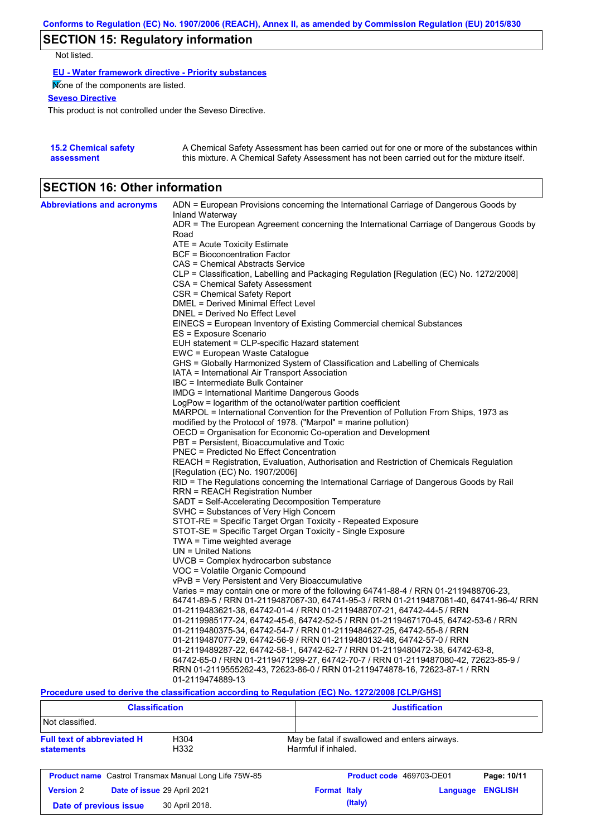# **SECTION 15: Regulatory information**

Not listed.

**EU - Water framework directive - Priority substances**

None of the components are listed.

### **Seveso Directive**

This product is not controlled under the Seveso Directive.

| <b>15.2 Chemical safety</b> | A Chemical Safety Assessment has been carried out for one or more of the substances within  |
|-----------------------------|---------------------------------------------------------------------------------------------|
| assessment                  | this mixture. A Chemical Safety Assessment has not been carried out for the mixture itself. |

### **SECTION 16: Other information**

| <b>Abbreviations and acronyms</b> | ADN = European Provisions concerning the International Carriage of Dangerous Goods by                       |
|-----------------------------------|-------------------------------------------------------------------------------------------------------------|
|                                   | Inland Waterway<br>ADR = The European Agreement concerning the International Carriage of Dangerous Goods by |
|                                   | Road                                                                                                        |
|                                   | ATE = Acute Toxicity Estimate                                                                               |
|                                   | BCF = Bioconcentration Factor                                                                               |
|                                   | CAS = Chemical Abstracts Service                                                                            |
|                                   | CLP = Classification, Labelling and Packaging Regulation [Regulation (EC) No. 1272/2008]                    |
|                                   | CSA = Chemical Safety Assessment                                                                            |
|                                   | CSR = Chemical Safety Report                                                                                |
|                                   | DMEL = Derived Minimal Effect Level                                                                         |
|                                   | DNEL = Derived No Effect Level                                                                              |
|                                   | EINECS = European Inventory of Existing Commercial chemical Substances                                      |
|                                   | ES = Exposure Scenario                                                                                      |
|                                   | EUH statement = CLP-specific Hazard statement                                                               |
|                                   | EWC = European Waste Catalogue                                                                              |
|                                   | GHS = Globally Harmonized System of Classification and Labelling of Chemicals                               |
|                                   | IATA = International Air Transport Association                                                              |
|                                   | IBC = Intermediate Bulk Container                                                                           |
|                                   | IMDG = International Maritime Dangerous Goods                                                               |
|                                   | LogPow = logarithm of the octanol/water partition coefficient                                               |
|                                   | MARPOL = International Convention for the Prevention of Pollution From Ships, 1973 as                       |
|                                   | modified by the Protocol of 1978. ("Marpol" = marine pollution)                                             |
|                                   | OECD = Organisation for Economic Co-operation and Development                                               |
|                                   | PBT = Persistent, Bioaccumulative and Toxic                                                                 |
|                                   | <b>PNEC = Predicted No Effect Concentration</b>                                                             |
|                                   | REACH = Registration, Evaluation, Authorisation and Restriction of Chemicals Regulation                     |
|                                   | [Regulation (EC) No. 1907/2006]                                                                             |
|                                   | RID = The Regulations concerning the International Carriage of Dangerous Goods by Rail                      |
|                                   | RRN = REACH Registration Number                                                                             |
|                                   | SADT = Self-Accelerating Decomposition Temperature                                                          |
|                                   | SVHC = Substances of Very High Concern                                                                      |
|                                   | STOT-RE = Specific Target Organ Toxicity - Repeated Exposure                                                |
|                                   | STOT-SE = Specific Target Organ Toxicity - Single Exposure<br>$TWA = Time weighted average$                 |
|                                   | $UN = United Nations$                                                                                       |
|                                   | UVCB = Complex hydrocarbon substance                                                                        |
|                                   | VOC = Volatile Organic Compound                                                                             |
|                                   | vPvB = Very Persistent and Very Bioaccumulative                                                             |
|                                   | Varies = may contain one or more of the following 64741-88-4 / RRN 01-2119488706-23,                        |
|                                   | 64741-89-5 / RRN 01-2119487067-30, 64741-95-3 / RRN 01-2119487081-40, 64741-96-4/ RRN                       |
|                                   | 01-2119483621-38, 64742-01-4 / RRN 01-2119488707-21, 64742-44-5 / RRN                                       |
|                                   | 01-2119985177-24, 64742-45-6, 64742-52-5 / RRN 01-2119467170-45, 64742-53-6 / RRN                           |
|                                   | 01-2119480375-34, 64742-54-7 / RRN 01-2119484627-25, 64742-55-8 / RRN                                       |
|                                   | 01-2119487077-29, 64742-56-9 / RRN 01-2119480132-48, 64742-57-0 / RRN                                       |
|                                   | 01-2119489287-22, 64742-58-1, 64742-62-7 / RRN 01-2119480472-38, 64742-63-8,                                |
|                                   | 64742-65-0 / RRN 01-2119471299-27, 64742-70-7 / RRN 01-2119487080-42, 72623-85-9 /                          |
|                                   | RRN 01-2119555262-43, 72623-86-0 / RRN 01-2119474878-16, 72623-87-1 / RRN                                   |
|                                   | 01-2119474889-13                                                                                            |
|                                   |                                                                                                             |

**Procedure used to derive the classification according to Regulation (EC) No. 1272/2008 [CLP/GHS]**

| <b>Classification</b>                                                                                 |                |                                                                      | <b>Justification</b> |                          |                |  |
|-------------------------------------------------------------------------------------------------------|----------------|----------------------------------------------------------------------|----------------------|--------------------------|----------------|--|
| Not classified.<br><b>Full text of abbreviated H</b><br>H <sub>304</sub><br>H332<br><b>statements</b> |                |                                                                      |                      |                          |                |  |
|                                                                                                       |                | May be fatal if swallowed and enters airways.<br>Harmful if inhaled. |                      |                          |                |  |
| <b>Product name</b> Castrol Transmax Manual Long Life 75W-85                                          |                |                                                                      |                      | Product code 469703-DE01 | Page: 10/11    |  |
| <b>Version 2</b><br>Date of issue 29 April 2021                                                       |                | <b>Format Italy</b>                                                  |                      | Language                 | <b>ENGLISH</b> |  |
| Date of previous issue                                                                                | 30 April 2018. |                                                                      | (Italy)              |                          |                |  |